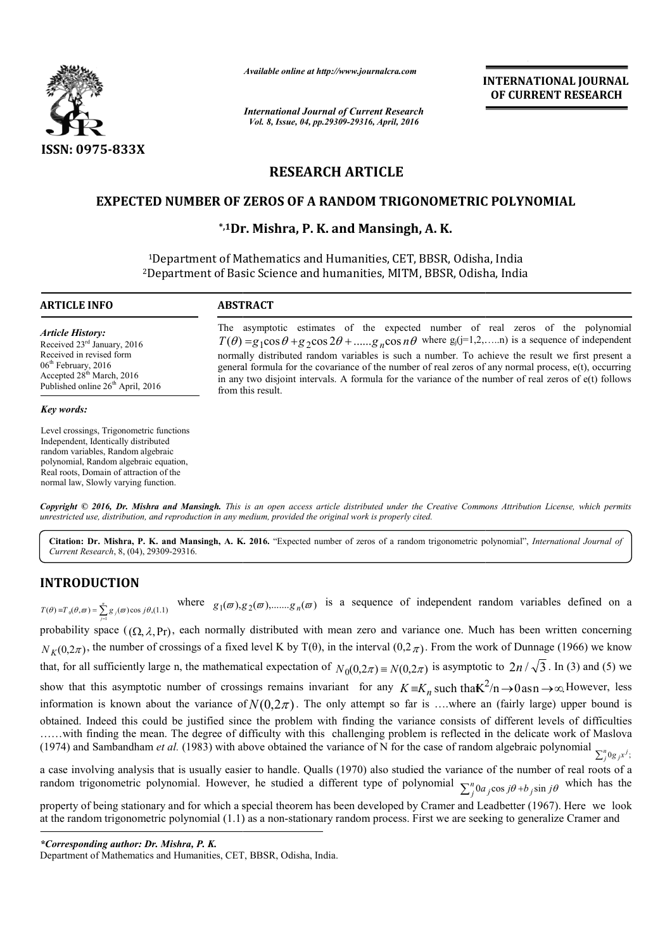

*Available online at http://www.journalcra.com*

*International Journal of Current Research Vol. 8, Issue, 04, pp.29309-29316, April, 2016*

**INTERNATIONAL JOURNAL OF CURRENT RESEARCH** 

# **RESEARCH ARTICLE**

### **EXPECTED NUMBER OF ZEROS OF A RANDOM TRIGONOMETRIC POLYNOMIAL**

## **\*,1Dr. Mishra Dr. Mishra, P. K. and Mansingh, A. K.**

1Department of Mathematics and Humanities, CET, BBSR, Odisha, India 2Department of Basic Science and humanities, MITM, BBSR, Odisha, Odisha, India

| <b>ARTICLE INFO</b>                                                                                                                                                                     | <b>ABSTRACT</b>                                                                                                                                                                                                                                                                                                                                                                                                                                                                                                                                              |
|-----------------------------------------------------------------------------------------------------------------------------------------------------------------------------------------|--------------------------------------------------------------------------------------------------------------------------------------------------------------------------------------------------------------------------------------------------------------------------------------------------------------------------------------------------------------------------------------------------------------------------------------------------------------------------------------------------------------------------------------------------------------|
| Article History:<br>Received $23rd$ January, 2016<br>Received in revised form<br>$06th$ February, 2016<br>Accepted $28th March$ , 2016<br>Published online 26 <sup>th</sup> April, 2016 | The asymptotic estimates of the expected number of real zeros of the polynomial<br>$T(\theta) = g_1 \cos \theta + g_2 \cos 2\theta + \dots + g_n \cos n\theta$ where $g_j(j=1,2,,n)$ is a sequence of independent<br>normally distributed random variables is such a number. To achieve the result we first present a<br>general formula for the covariance of the number of real zeros of any normal process, e(t), occurring<br>in any two disjoint intervals. A formula for the variance of the number of real zeros of e(t) follows<br>from this result. |
| Key words:                                                                                                                                                                              |                                                                                                                                                                                                                                                                                                                                                                                                                                                                                                                                                              |
| Level crossings. Trigonometric functions<br>Independent, Identically distributed<br>random variables, Random algebraic<br>polynomial, Random algebraic equation,                        |                                                                                                                                                                                                                                                                                                                                                                                                                                                                                                                                                              |

Copyright © 2016, Dr. Mishra and Mansingh. This is an open access article distributed under the Creative Commons Attribution License, which permits *unrestricted use, distribution, and reproduction in any medium, provided the original work is properly cited.*

Citation: Dr. Mishra, P. K. and Mansingh, A. K. 2016. "Expected number of zeros of a random trigonometric polynomial", *International Journal of Current Research*, 8, (04), 29309-29316.

# **INTRODUCTION**

Real roots, Domain of attraction of the normal law, Slowly varying function.

 $(\theta) \equiv T_0(\theta, \varpi) = \sum_{j=1}^n g_j(\varpi) \cos j\theta$ ,(1.1)  $T(\theta) = T_0(\theta, \pi) = \sum_{j=1}^n g_j(\pi) \cos j\theta_j(1.1)$  where  $g_1(\pi), g_2(\pi), \dots, g_n(\pi)$  is a sequence of independent random variables defined on a probability space  $((\Omega, \lambda, Pr),$  each normally distributed with mean zero and variance one. M probability space ( $(\Omega, \lambda, Pr)$ , each normally distributed with mean zero and variance one. Much has been written concerning *N K*(0,2*π*), the number of crossings of a fixed level K by T(θ), in the interval (0,2*π*). From the work of Dunnage ( $N_K(0,2\pi)$ , the number of crossings of a fixed level K by T(θ), in the interval (0,2*π*). From the that, for all sufficiently large n, the mathematical expectation of  $N_0(0, 2\pi) \equiv N(0, 2\pi)$  is asymptotic to  $2n / \sqrt{3}$ . In (3) and (5) we show that this asymptotic number of crossings remains invariant for any  $K \equiv K_n$  such that  $K^2/n \to 0$  as  $n \to \infty$  However, less information is known about the variance of  $N(0,2\pi)$ . The only attempt so far is ...where an (fairly large) upper bound is information is known about the variance of  $N(0,2\pi)$ . The only attempt so far is ....where an (fairly large) upper bound is obtained. Indeed this could be justified since the problem with finding the variance consists of .....with finding the mean. The degree of difficulty with this challenging problem is reflected in the delicate work of Maslova .....with finding the mean. The degree of difficulty with this challenging problem is reflected in the delicate work of Maslova (1974) and Sambandham *et al.* (1983) with above obtained the variance of N for the case of r a case involving analysis that is usually easier to handle. Qualls (1970) also studied the variance of the number of real roots of a random trigonometric polynomial. However, he studied a different type of polynomial  $\sum_{j=1}^{n} a_{j} \cos j\theta + b_{j} \sin j\theta$  which has the **INTERNATIONAL JOURNAL CONDUCT THE CONDUCT THE CONDUCT THE CONDUCT THE CONDUCT THE CONDUCT THE CONDUCT THE CONDUCT THE CONDUCT THE CONDUCT THE CONDUCT THE CONDUCT THE CONDUCT THE CONDUCT THE CONDUCT THE CONDUCT THE CONDUC** 

property of being stationary and for which a special theorem has been developed by Cramer and Leadbetter (1967). Here we look at the random trigonometric polynomial (1.1) as a non-stationary random process. First we are seeking to generalize Cramer and

*<sup>\*</sup>Corresponding author: Dr. Mishra, P. K.* 

Department of Mathematics and Humanities, CET, BBSR, Odisha, India.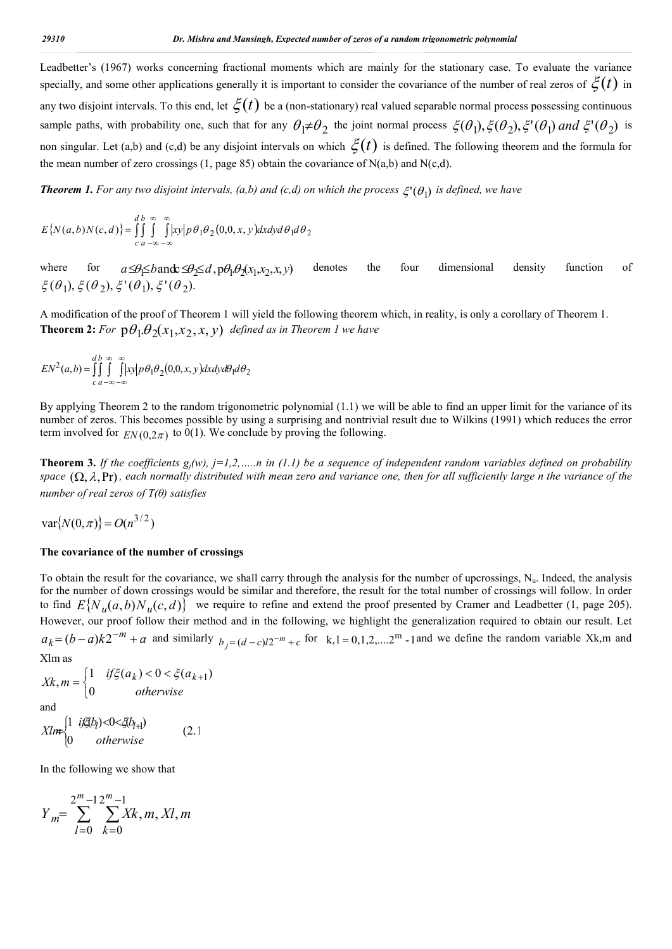Leadbetter's (1967) works concerning fractional moments which are mainly for the stationary case. To evaluate the variance specially, and some other applications generally it is important to consider the covariance of the number of real zeros of  $\zeta(t)$  in any two disjoint intervals. To this end, let  $\zeta(t)$  be a (non-stationary) real valued separable normal process possessing continuous sample paths, with probability one, such that for any  $\theta_1 \neq \theta_2$  the joint normal process  $\xi(\theta_1), \xi(\theta_2), \xi'(\theta_1)$  and  $\xi'(\theta_2)$  is non singular. Let (a,b) and (c,d) be any disjoint intervals on which  $\zeta(t)$  is defined. The following theorem and the formula for the mean number of zero crossings  $(1, \text{page } 85)$  obtain the covariance of N $(a,b)$  and N $(c,d)$ .

*Theorem 1. For any two disjoint intervals, (a,b) and (c,d) on which the process*  $\xi'(\theta_1)$  *is defined, we have* 

$$
E\{N(a,b)N(c,d)\} = \iint_{c}^{d} \int_{a-\infty}^{\infty} \int_{-\infty}^{\infty} |xy| p \theta_1 \theta_2(0,0,x,y) dx dy d\theta_1 d\theta_2
$$

where for  $a \le \theta \le b$  and  $\theta \le \theta \le d$ ,  $p\theta_1 \theta_2(x_1, x_2, x, y)$  denotes the four dimensional density function of  $\xi(\theta_1), \xi(\theta_2), \xi'(\theta_1), \xi'(\theta_2).$ 

A modification of the proof of Theorem 1 will yield the following theorem which, in reality, is only a corollary of Theorem 1. **Theorem 2:** For  $p\theta_1 \cdot \theta_2(x_1, x_2, x, y)$  defined as in Theorem 1 we have

$$
EN^{2}(a,b) = \iint_{c}^{d} \int_{a-\infty-\infty}^{\infty} \int_{-\infty}^{\infty} |xy| p\theta_{1}\theta_{2}(0,0,x,y) dxdy d\theta_{1} d\theta_{2}
$$

By applying Theorem 2 to the random trigonometric polynomial (1.1) we will be able to find an upper limit for the variance of its number of zeros. This becomes possible by using a surprising and nontrivial result due to Wilkins (1991) which reduces the error term involved for  $EN(0,2\pi)$  to 0(1). We conclude by proving the following.

**Theorem 3.** *If the coefficients*  $g_i(w)$ *, j=1,2, ...,n in (1.1) be a sequence of independent random variables defined on probability space*  $(\Omega, \lambda, Pr)$ *, each normally distributed with mean zero and variance one, then for all sufficiently large n the variance of the number of real zeros of T(θ) satisfies* 

 $\text{var}\{N(0, \pi)\} = O(n^{3/2})$ 

#### **The covariance of the number of crossings**

To obtain the result for the covariance, we shall carry through the analysis for the number of upcrossings,  $N_u$ . Indeed, the analysis for the number of down crossings would be similar and therefore, the result for the total number of crossings will follow. In order to find  $E\{N_u(a,b)N_u(c,d)\}$  we require to refine and extend the proof presented by Cramer and Leadbetter (1, page 205). However, our proof follow their method and in the following, we highlight the generalization required to obtain our result. Let  $a_k = (b-a)k2^{-m} + a$  and similarly  $b_i = (d-c)2^{-m} + c$  for k,l = 0,1,2,....2<sup>m</sup> -1 and we define the random variable Xk,m and Xlm as

$$
Xk, m = \begin{cases} 1 & if \xi(a_k) < 0 < \xi(a_{k+1}) \\ 0 & otherwise \end{cases}
$$
  
and  

$$
Xlm = \begin{cases} 1 & if \xi(b_l) < 0 < \xi(b_{l+1}) \\ 0 & otherwise \end{cases}
$$
 (2.1)

In the following we show that

ſ

$$
Y_m = \sum_{l=0}^{2^m-1} \sum_{k=0}^{m-1} X_k, m, Xl, m
$$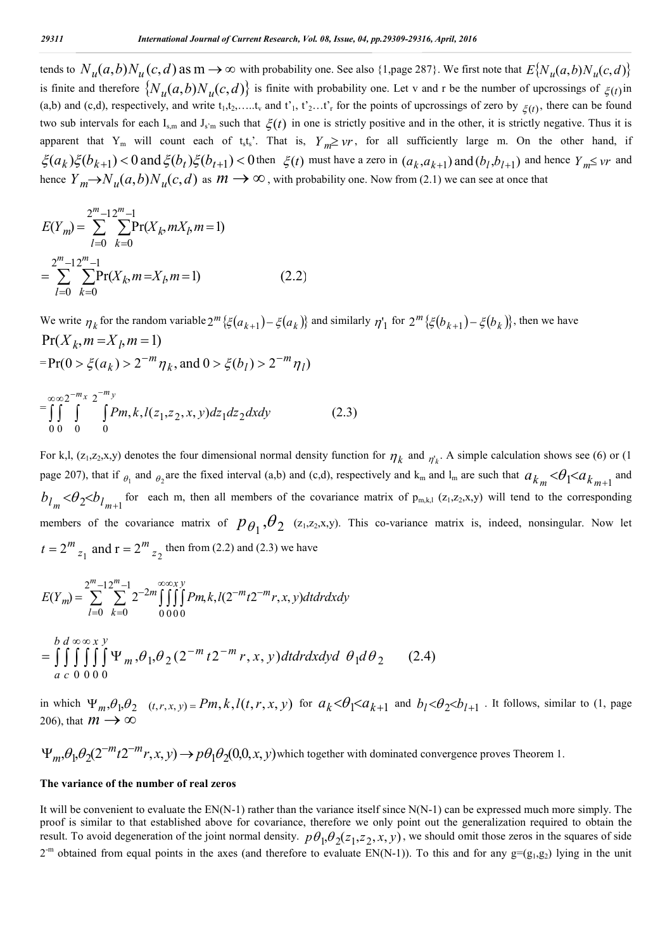tends to  $N_u(a,b)N_u(c,d)$  as  $m \to \infty$  with probability one. See also {1,page 287}. We first note that  $E\{N_u(a,b)N_u(c,d)\}$ is finite and therefore  $\{N_u(a,b)N_u(c,d)\}\$ is finite with probability one. Let v and r be the number of upcrossings of  $\xi(t)$  in (a,b) and (c,d), respectively, and write  $t_1, t_2, \ldots, t_v$  and  $t'_1, t'_2, \ldots, t'_r$  for the points of upcrossings of zero by  $\xi(t)$ , there can be found two sub intervals for each I<sub>s,m</sub> and J<sub>s'm</sub> such that  $\xi(t)$  in one is strictly positive and in the other, it is strictly negative. Thus it is apparent that Y<sub>m</sub> will count each of t<sub>s</sub>t<sub>s</sub>'. That is,  $Y_m \geq \nu r$ , for all sufficiently large m. On the other hand, if  $\zeta(a_k)\zeta(b_{k+1}) < 0$  and  $\zeta(b_t)\zeta(b_{t+1}) < 0$  then  $\zeta(t)$  must have a zero in  $(a_k, a_{k+1})$  and  $(b_l, b_{l+1})$  and hence  $Y_m \leq v$ r and hence  $Y_m \to N_u(a,b)N_u(c,d)$  as  $m \to \infty$ , with probability one. Now from (2.1) we can see at once that

$$
E(Y_m) = \sum_{l=0}^{2^m - 1} \sum_{k=0}^{2^m - 1} \Pr(X_k, mX_l, m = 1)
$$
  
= 
$$
\sum_{l=0}^{2^m - 1} \sum_{k=0}^{2^m - 1} \Pr(X_k, m = X_l, m = 1)
$$
 (2.2)

We write  $\eta_k$  for the random variable  $2^m \{\xi(a_{k+1}) - \xi(a_k)\}\$  and similarly  $\eta_1$  for  $2^m \{\xi(b_{k+1}) - \xi(b_k)\}\$ , then we have  $Pr(X_k, m = X_l, m = 1)$ 

$$
= \Pr(0 > \xi(a_k) > 2^{-m} \eta_k, \text{ and } 0 > \xi(b_l) > 2^{-m} \eta_l)
$$

$$
= \int_{0}^{\infty} \int_{0}^{\infty} \int_{0}^{-m_{x}} \int_{0}^{-m_{y}} Pm, k, l(z_{1}, z_{2}, x, y) dz_{1} dz_{2} dx dy
$$
 (2.3)

For k,l,  $(z_1, z_2, x, y)$  denotes the four dimensional normal density function for  $\eta_k$  and  $\eta_k$ . A simple calculation shows see (6) or (1) page 207), that if  $_{\theta_1}$  and  $_{\theta_2}$  are the fixed interval (a,b) and (c,d), respectively and  $k_m$  and  $l_m$  are such that  $a_{k_m} < \theta_1 < a_{k_{m+1}}$  and  $b_{l_m} < \theta_2 < b_{l_{m+1}}$  for each m, then all members of the covariance matrix of p<sub>m,k,l</sub> (z<sub>1</sub>,z<sub>2</sub>,x<sub>,</sub>y) will tend to the corresponding members of the covariance matrix of  $p_{\theta_1}, \theta_2$  (z<sub>1</sub>,z<sub>2</sub>,x,y). This co-variance matrix is, indeed, nonsingular. Now let  $t = 2^m z_1$  and  $r = 2^m z_2$  then from (2.2) and (2.3) we have

$$
E(Y_m) = \sum_{l=0}^{2^m-1} \sum_{k=0}^{2^m-1} 2^{-2m} \iiint_{0}^{\infty} P_{l,m} k, l(2^{-m}t 2^{-m}r, x, y) dt dr dx dy
$$
  
= 
$$
\iiint_{a} d \infty \infty x y
$$
  
= 
$$
\iiint_{a} \iiint_{0}^{\infty} \iint_{0}^{\infty} \Psi_{m} \cdot \theta_1 \cdot \theta_2 (2^{-m} t 2^{-m} r, x, y) dt dr dx dy d \theta_1 d \theta_2
$$
 (2.4)

in which  $\Psi_m$ ,  $\theta_1$ ,  $\theta_2$  (*t,r,x,y*) = Pm, k, l(*t,r,x,y*) for  $a_k < \theta_1 < a_{k+1}$  and  $b_l < \theta_2 < b_{l+1}$ . It follows, similar to (1, page 206), that  $m \rightarrow \infty$ 

 $\Psi_m$ ,  $\theta_1$ ,  $\theta_2$ (2<sup>-m</sup>t2<sup>-m</sup>r, x, y)  $\rightarrow$   $p\theta_1\theta_2$ (0,0, x, y) which together with dominated convergence proves Theorem 1.

#### **The variance of the number of real zeros**

It will be convenient to evaluate the EN(N-1) rather than the variance itself since N(N-1) can be expressed much more simply. The proof is similar to that established above for covariance, therefore we only point out the generalization required to obtain the result. To avoid degeneration of the joint normal density.  $p\theta_1, \theta_2(z_1, z_2, x, y)$ , we should omit those zeros in the squares of side  $2^{-m}$  obtained from equal points in the axes (and therefore to evaluate EN(N-1)). To this and for any  $g=(g_1,g_2)$  lying in the unit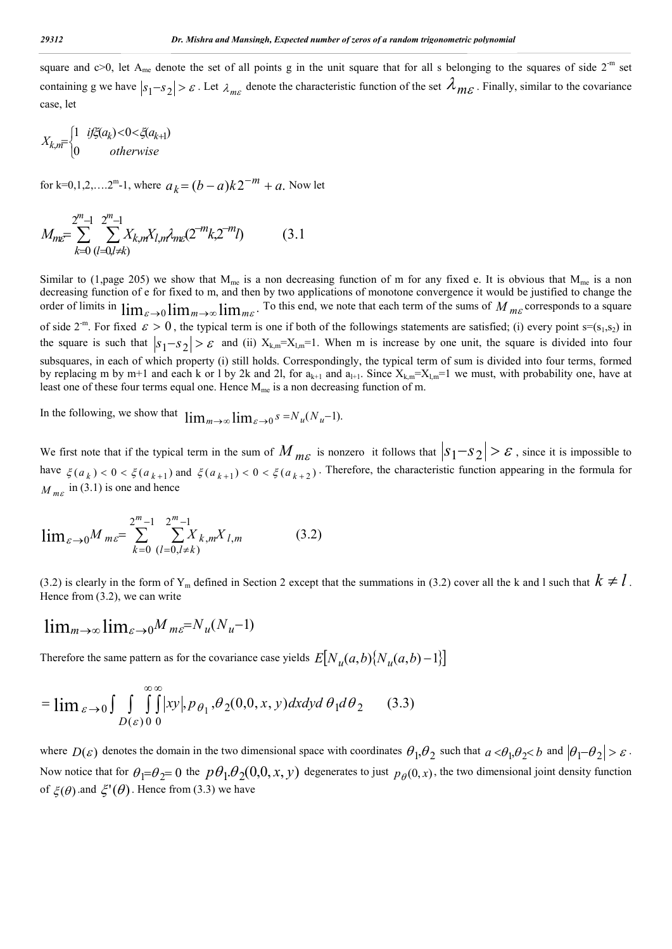square and  $c>0$ , let A<sub>me</sub> denote the set of all points g in the unit square that for all s belonging to the squares of side  $2<sup>-m</sup>$  set containing g we have  $|s_1-s_2| > \varepsilon$ . Let  $\lambda_{m\varepsilon}$  denote the characteristic function of the set  $\lambda_{m\varepsilon}$ . Finally, similar to the covariance case, let

$$
X_{k,m} = \begin{cases} 1 & \text{if } \xi(a_k) < 0 < \xi(a_{k+1}) \\ 0 & \text{otherwise} \end{cases}
$$

for k=0,1,2,....2<sup>m</sup>-1, where  $a_k = (b - a)k2^{-m} + a$ . Now let

$$
M_{m\varepsilon} = \sum_{k=0}^{2^m - 1} \sum_{(l=0,l \neq k)}^{2^m - 1} X_{k,m} X_{l,m} \lambda_{m\varepsilon} (2^{-m} k, 2^{-m} l) \tag{3.1}
$$

Similar to (1,page 205) we show that  $M_{me}$  is a non decreasing function of m for any fixed e. It is obvious that  $M_{me}$  is a non decreasing function of e for fixed to m, and then by two applications of monotone convergence it would be justified to change the order of limits in  $\lim_{\varepsilon \to 0} \lim_{m \to \infty} \lim_{m \in \mathbb{R}}$ . To this end, we note that each term of the sums of *M m<sub>c</sub>* corresponds to a square of side  $2^{-m}$ . For fixed  $\varepsilon > 0$ , the typical term is one if both of the followings statements are satisfied; (i) every point s=(s<sub>1</sub>,s<sub>2</sub>) in the square is such that  $|s_1 - s_2| > \varepsilon$  and (ii)  $X_{k,m} = X_{l,m} = 1$ . When m is increase by one unit, the square is divided into four subsquares, in each of which property (i) still holds. Correspondingly, the typical term of sum is divided into four terms, formed by replacing m by m+1 and each k or 1 by 2k and 2l, for  $a_{k+1}$  and  $a_{l+1}$ . Since  $X_{k,m}=X_{l,m}=1$  we must, with probability one, have at least one of these four terms equal one. Hence  $M_{me}$  is a non decreasing function of m.

In the following, we show that  $\lim_{m\to\infty} \lim_{\varepsilon\to 0} s = N_u(N_u-1)$ .

We first note that if the typical term in the sum of  $M_{m_{\mathcal{E}}}$  is nonzero it follows that  $|s_1-s_2| > \varepsilon$ , since it is impossible to have  $\xi(a_k) < 0 < \xi(a_{k+1})$  and  $\xi(a_{k+1}) < 0 < \xi(a_{k+2})$ . Therefore, the characteristic function appearing in the formula for  $M_{mg}$  in (3.1) is one and hence

$$
\lim_{\varepsilon \to 0} M_{m\varepsilon} = \sum_{k=0}^{2^m - 1} \sum_{(l=0, l \neq k)}^{2^m - 1} X_{k, m} X_{l, m}
$$
 (3.2)

(3.2) is clearly in the form of Y<sub>m</sub> defined in Section 2 except that the summations in (3.2) cover all the k and l such that  $k \neq l$ . Hence from (3.2), we can write

$$
\lim_{m\to\infty}\lim_{\varepsilon\to 0}M_{m\varepsilon}=N_u(N_u-1)
$$

Therefore the same pattern as for the covariance case yields  $E[N_u(a,b)\{N_u(a,b)-1\}]$ 

$$
= \lim_{\varepsilon \to 0} \int \int_{D(\varepsilon)0} \int_{0}^{\infty} |xy|, p_{\theta_1}, \theta_2(0,0,x,y) dx dy d\theta_1 d\theta_2 \qquad (3.3)
$$

where  $D(\varepsilon)$  denotes the domain in the two dimensional space with coordinates  $\theta_1, \theta_2$  such that  $a < \theta_1, \theta > 0$  and  $|\theta_1 - \theta_2| > \varepsilon$ . Now notice that for  $\theta_1 = \theta_2 = 0$  the  $p\theta_1 \theta_2(0,0,x, y)$  degenerates to just  $p_\theta(0,x)$ , the two dimensional joint density function of  $\mathcal{E}(\theta)$  and  $\mathcal{E}'(\theta)$ . Hence from (3.3) we have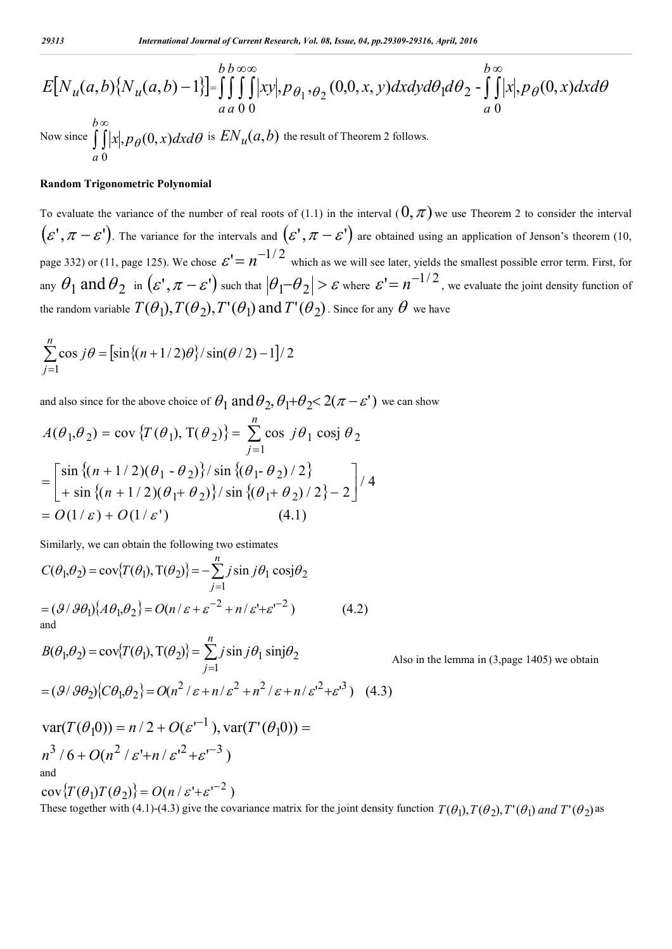$$
E[N_u(a,b){N_u(a,b)-1}\brack{1} = \iint_{a}^{b} \iint_{b}^{\infty} |xy|, p_{\theta_1, \theta_2}(0,0,x,y) dx dy d\theta_1 d\theta_2 - \iint_{a}^{b} |x|, p_{\theta}(0,x) dx d\theta_1
$$

Now since  $\int \int$ *b a*  $\alpha | p_{\theta}(0, x) dx d\theta$  is  $E\!N_u(a, b)$  the result of Theorem 2 follows. 0

### **Random Trigonometric Polynomial**

To evaluate the variance of the number of real roots of (1.1) in the interval  $(0, \pi)$  we use Theorem 2 to consider the interval  $(\varepsilon', \pi - \varepsilon')$ . The variance for the intervals and  $(\varepsilon', \pi - \varepsilon')$  are obtained using an application of Jenson's theorem (10, page 332) or (11, page 125). We chose  $\mathcal{E}' = n^{-1/2}$  which as we will see later, yields the smallest possible error term. First, for any  $\theta_1$  and  $\theta_2$  in  $(\varepsilon', \pi - \varepsilon')$  such that  $|\theta_1 - \theta_2| > \varepsilon$  where  $\varepsilon' = n^{-1/2}$ , we evaluate the joint density function of the random variable  $T(\theta_1), T(\theta_2), T'(\theta_1)$  and  $T'(\theta_2)$ . Since for any  $\theta$  we have

$$
\sum_{j=1}^{n} \cos j\theta = [\sin \{(n+1/2)\theta\} / \sin(\theta/2) - 1] / 2
$$

and also since for the above choice of  $\theta_1$  and  $\theta_2$ ,  $\theta_1 + \theta_2 < 2(\pi - \varepsilon')$  we can show

$$
A(\theta_1, \theta_2) = \text{cov}\left\{T(\theta_1), T(\theta_2)\right\} = \sum_{j=1}^n \cos j\theta_1 \cos j\theta_2
$$
  
= 
$$
\begin{bmatrix} \sin \left\{(n+1/2)(\theta_1 - \theta_2)\right\} / \sin \left\{(\theta_1 - \theta_2)/2\right\} \\ + \sin \left\{(n+1/2)(\theta_1 + \theta_2)\right\} / \sin \left\{(\theta_1 + \theta_2)/2\right\} - 2 \end{bmatrix} / 4
$$
  
= 
$$
O(1/\varepsilon) + O(1/\varepsilon')
$$
(4.1)

Similarly, we can obtain the following two estimates

$$
C(\theta_1, \theta_2) = \cos{\{T(\theta_1), T(\theta_2)\}} = -\sum_{j=1}^n j \sin j\theta_1 \cos j\theta_2
$$
  
=  $(\mathcal{G}/\mathcal{G}\theta_1)\{A\theta_1, \theta_2\} = O(n/\varepsilon + \varepsilon^{-2} + n/\varepsilon' + \varepsilon^{-2})$  (4.2)  
and

$$
B(\theta_1, \theta_2) = \cos\left\{T(\theta_1), T(\theta_2)\right\} = \sum_{j=1}^n j \sin j \theta_1 \sin j \theta_2
$$
  
=  $(\mathcal{G}/\mathcal{G}\theta_2)\left\{C\theta_1, \theta_2\right\} = O(n^2/\varepsilon + n/\varepsilon^2 + n^2/\varepsilon + n/\varepsilon^2 + \varepsilon^3)$  (4.3)

Also in the lemma in (3,page 1405) we obtain

$$
\text{var}(T(\theta_1 0)) = n/2 + O(\varepsilon^{-1}), \text{var}(T'(\theta_1 0)) =
$$
  

$$
n^3 / 6 + O(n^2 / \varepsilon' + n / \varepsilon'^2 + \varepsilon^{-3})
$$
  
and

 $\{\cos \left( T(\theta_1) T(\theta_2) \right\} = O(n / \varepsilon^2 + \varepsilon^2)$ These together with (4.1)-(4.3) give the covariance matrix for the joint density function  $T(\theta_1)$ ,  $T(\theta_2)$ ,  $T'(\theta_1)$  and  $T'(\theta_2)$  as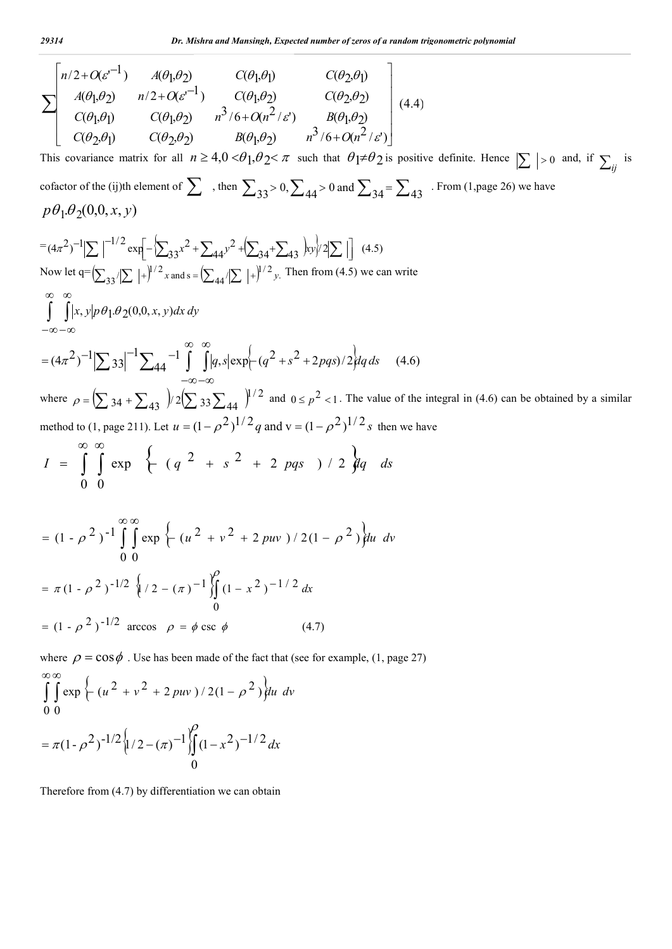$$
\sum \begin{bmatrix} n/2 + O(\varepsilon^{-1}) & A(\theta_1, \theta_2) & C(\theta_1, \theta_1) & C(\theta_2, \theta_1) \\ A(\theta_1, \theta_2) & n/2 + O(\varepsilon^{-1}) & C(\theta_1, \theta_2) & C(\theta_2, \theta_2) \\ C(\theta_1, \theta_1) & C(\theta_1, \theta_2) & n^3/6 + O(n^2/\varepsilon') & B(\theta_1, \theta_2) \\ C(\theta_2, \theta_1) & C(\theta_2, \theta_2) & B(\theta_1, \theta_2) & n^3/6 + O(n^2/\varepsilon') \end{bmatrix} (4.4)
$$
  
This covariance matrix for all  $n \ge 4, 0 < \theta_1, \theta_2 < \pi$  such that  $\theta_1 \neq \theta_2$  is positive definite. Hence  $|\sum |>0$  and, if  $\sum_{ij}$  is cofactor of the (ij)th element of  $\sum$ , then  $\sum_{33} > 0$ ,  $\sum_{44} > 0$  and  $\sum_{34} = \sum_{43}$ . From (1, page 26) we have  

$$
p\theta_1 \cdot \theta_2(0, 0, x, y)
$$
  

$$
= (4\pi^2)^{-1} |\sum |^{-1/2} \exp[-\sum_{33} x^2 + \sum_{44} y^2 + \sum_{34} + \sum_{43} y^2] \frac{1}{\sqrt{2}} \] (4.5)
$$
  
Now let  $q = (\sum_{33}/[\sum |+|^{1/2} x_{33}| + \sum_{44} (|\sum |+|^{1/2} y_{43}| + \sum_{43} y_{4}) \frac{1}{\sqrt{2}} \] (4.5)$   

$$
= \alpha - \infty
$$
  

$$
= (4\pi^2)^{-1} |\sum_{33}|^{-1} \sum_{44} -1 \int_{-\infty}^{\infty} \int_{-\infty}^{\infty} |\alpha_1 s| \exp[-(q^2 + s^2 + 2\rho q s)/2] dq ds \quad (4.6)
$$
  
where  $\rho = (\sum_{34} 34 + \sum_{43} 2) \frac{2(\sum_{33} \sum_{44} |1^{1/2} z_{44}| + \sum_{43} (q$ 

$$
= \pi (1 - \rho^2)^{-1/2} \left\{ / 2 - (\pi)^{-1} \int_{0}^{\rho} (1 - x^2)^{-1/2} dx \right\}
$$
  
=  $(1 - \rho^2)^{-1/2}$  arccos  $\rho = \phi \csc \phi$  (4.7)

where  $\rho = \cos \phi$ . Use has been made of the fact that (see for example, (1, page 27)

$$
\int_{0}^{\infty} \int_{0}^{\infty} \exp \left\{ \frac{u^2 + v^2 + 2 \, p u v}{2(1 - \rho^2)} \right\} du \, dv
$$

$$
= \pi (1 - \rho^2)^{-1/2} \left\{ \frac{1}{2} - (\pi)^{-1} \right\} \int_{0}^{\infty} (1 - x^2)^{-1/2} dx
$$

Therefore from (4.7) by differentiation we can obtain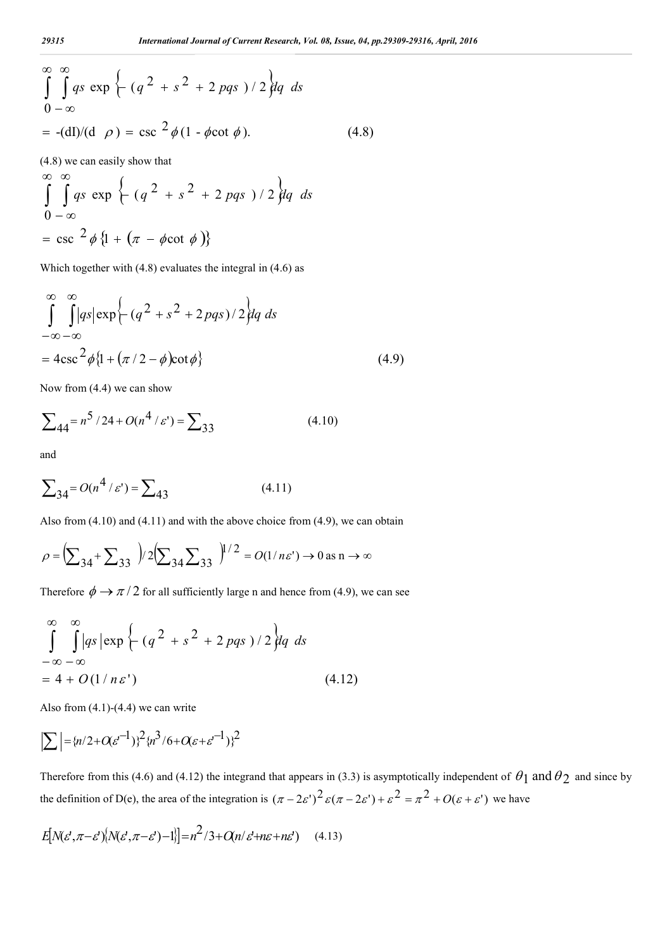$$
\int_{0}^{\infty} \int_{-\infty}^{\infty} qs \exp \left\{ - \left( q^2 + s^2 + 2 \text{ pqs } \right) / 2 \right\} dq \ ds
$$
  
= -(dI)/(d \rho) = csc <sup>2</sup> φ (1 - φcot φ). (4.8)

(4.8) we can easily show that

$$
\int_{0}^{\infty} \int_{-\infty}^{\infty} qs \exp \left\{ \frac{q^2 + s^2 + 2 \text{ pqs } }{1/2} \right\} dq \ ds
$$
  
=  $\csc^2 \phi \left\{ 1 + \left( \pi - \phi \cot \phi \right) \right\}$ 

Which together with (4.8) evaluates the integral in (4.6) as

$$
\int_{-\infty}^{\infty} \int_{-\infty}^{\infty} |qs| \exp\left\{-(q^2+s^2+2pqs)/2\right\} dq ds
$$
  
=  $4\csc^2\phi\{1+(\pi/2-\phi)\cot\phi\}$  (4.9)

Now from (4.4) we can show

$$
\sum_{44} = n^5 / 24 + O(n^4 / \varepsilon') = \sum_{33}
$$
 (4.10)

and

$$
\sum_{34} = O(n^4 / \varepsilon') = \sum_{43} \tag{4.11}
$$

Also from (4.10) and (4.11) and with the above choice from (4.9), we can obtain

$$
\rho = \left(\sum_{34} + \sum_{33} \right) / 2 \left(\sum_{34} \sum_{33} \right) / 2 = O(1/n\varepsilon') \to 0 \text{ as } n \to \infty
$$

Therefore  $\phi \rightarrow \pi/2$  for all sufficiently large n and hence from (4.9), we can see

$$
\int_{-\infty}^{\infty} \int_{-\infty}^{\infty} |qs| \exp \left\{ \frac{q^2 + s^2 + 2 \cdot pqs}{\sqrt{2q}} \right\} dq \, ds
$$
\n
$$
= 4 + O(1/n\varepsilon') \tag{4.12}
$$

Also from  $(4.1)-(4.4)$  we can write

$$
\left| \sum \right| = \{n/2 + O(\varepsilon^{-1})\}^2 \{n^3/6 + O(\varepsilon + \varepsilon^{-1})\}^2
$$

Therefore from this (4.6) and (4.12) the integrand that appears in (3.3) is asymptotically independent of  $\theta_1$  and  $\theta_2$  and since by the definition of D(e), the area of the integration is  $(\pi - 2\varepsilon')^2 \varepsilon (\pi - 2\varepsilon') + \varepsilon^2 = \pi^2 + O(\varepsilon + \varepsilon')$  we have

$$
E[N(\varepsilon^{\prime},\pi-\varepsilon^{\prime})[N(\varepsilon^{\prime},\pi-\varepsilon^{\prime})-1]] = n^2/3 + O(n/\varepsilon^{\prime} + n\varepsilon + n\varepsilon^{\prime}) \quad (4.13)
$$